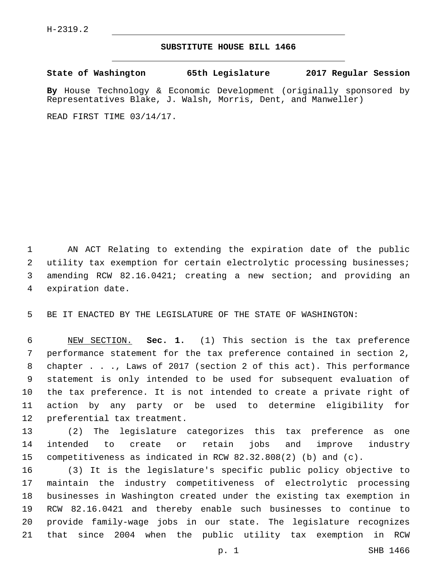## **SUBSTITUTE HOUSE BILL 1466**

**State of Washington 65th Legislature 2017 Regular Session**

**By** House Technology & Economic Development (originally sponsored by Representatives Blake, J. Walsh, Morris, Dent, and Manweller)

READ FIRST TIME 03/14/17.

 AN ACT Relating to extending the expiration date of the public utility tax exemption for certain electrolytic processing businesses; amending RCW 82.16.0421; creating a new section; and providing an 4 expiration date.

BE IT ENACTED BY THE LEGISLATURE OF THE STATE OF WASHINGTON:

 NEW SECTION. **Sec. 1.** (1) This section is the tax preference performance statement for the tax preference contained in section 2, chapter . . ., Laws of 2017 (section 2 of this act). This performance statement is only intended to be used for subsequent evaluation of the tax preference. It is not intended to create a private right of action by any party or be used to determine eligibility for preferential tax treatment.

 (2) The legislature categorizes this tax preference as one intended to create or retain jobs and improve industry competitiveness as indicated in RCW 82.32.808(2) (b) and (c).

 (3) It is the legislature's specific public policy objective to maintain the industry competitiveness of electrolytic processing businesses in Washington created under the existing tax exemption in RCW 82.16.0421 and thereby enable such businesses to continue to provide family-wage jobs in our state. The legislature recognizes that since 2004 when the public utility tax exemption in RCW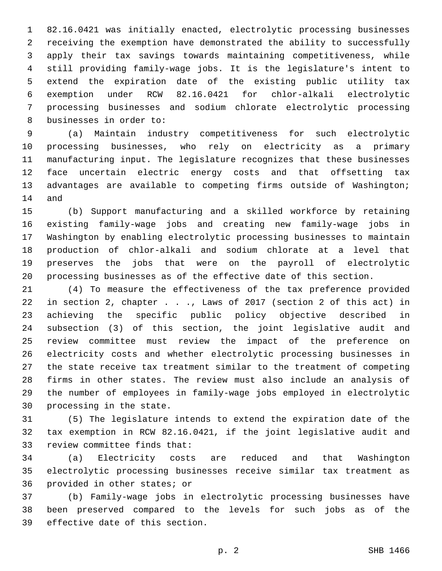82.16.0421 was initially enacted, electrolytic processing businesses receiving the exemption have demonstrated the ability to successfully apply their tax savings towards maintaining competitiveness, while still providing family-wage jobs. It is the legislature's intent to extend the expiration date of the existing public utility tax exemption under RCW 82.16.0421 for chlor-alkali electrolytic processing businesses and sodium chlorate electrolytic processing 8 businesses in order to:

 (a) Maintain industry competitiveness for such electrolytic processing businesses, who rely on electricity as a primary manufacturing input. The legislature recognizes that these businesses face uncertain electric energy costs and that offsetting tax advantages are available to competing firms outside of Washington; 14 and

 (b) Support manufacturing and a skilled workforce by retaining existing family-wage jobs and creating new family-wage jobs in Washington by enabling electrolytic processing businesses to maintain production of chlor-alkali and sodium chlorate at a level that preserves the jobs that were on the payroll of electrolytic processing businesses as of the effective date of this section.

 (4) To measure the effectiveness of the tax preference provided in section 2, chapter . . ., Laws of 2017 (section 2 of this act) in achieving the specific public policy objective described in subsection (3) of this section, the joint legislative audit and review committee must review the impact of the preference on electricity costs and whether electrolytic processing businesses in the state receive tax treatment similar to the treatment of competing firms in other states. The review must also include an analysis of the number of employees in family-wage jobs employed in electrolytic 30 processing in the state.

 (5) The legislature intends to extend the expiration date of the tax exemption in RCW 82.16.0421, if the joint legislative audit and 33 review committee finds that:

 (a) Electricity costs are reduced and that Washington electrolytic processing businesses receive similar tax treatment as 36 provided in other states; or

 (b) Family-wage jobs in electrolytic processing businesses have been preserved compared to the levels for such jobs as of the 39 effective date of this section.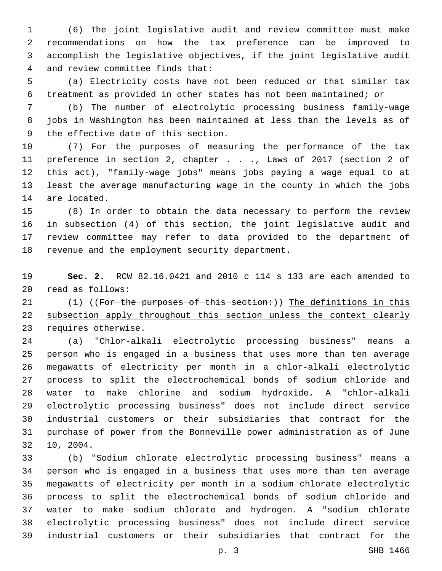(6) The joint legislative audit and review committee must make recommendations on how the tax preference can be improved to accomplish the legislative objectives, if the joint legislative audit 4 and review committee finds that:

 (a) Electricity costs have not been reduced or that similar tax treatment as provided in other states has not been maintained; or

 (b) The number of electrolytic processing business family-wage jobs in Washington has been maintained at less than the levels as of 9 the effective date of this section.

 (7) For the purposes of measuring the performance of the tax preference in section 2, chapter . . ., Laws of 2017 (section 2 of this act), "family-wage jobs" means jobs paying a wage equal to at least the average manufacturing wage in the county in which the jobs 14 are located.

 (8) In order to obtain the data necessary to perform the review in subsection (4) of this section, the joint legislative audit and review committee may refer to data provided to the department of 18 revenue and the employment security department.

 **Sec. 2.** RCW 82.16.0421 and 2010 c 114 s 133 are each amended to read as follows:20

21 (1) ((For the purposes of this section:)) The definitions in this subsection apply throughout this section unless the context clearly 23 requires otherwise.

 (a) "Chlor-alkali electrolytic processing business" means a person who is engaged in a business that uses more than ten average megawatts of electricity per month in a chlor-alkali electrolytic process to split the electrochemical bonds of sodium chloride and water to make chlorine and sodium hydroxide. A "chlor-alkali electrolytic processing business" does not include direct service industrial customers or their subsidiaries that contract for the purchase of power from the Bonneville power administration as of June 32 10, 2004.

 (b) "Sodium chlorate electrolytic processing business" means a person who is engaged in a business that uses more than ten average megawatts of electricity per month in a sodium chlorate electrolytic process to split the electrochemical bonds of sodium chloride and water to make sodium chlorate and hydrogen. A "sodium chlorate electrolytic processing business" does not include direct service industrial customers or their subsidiaries that contract for the